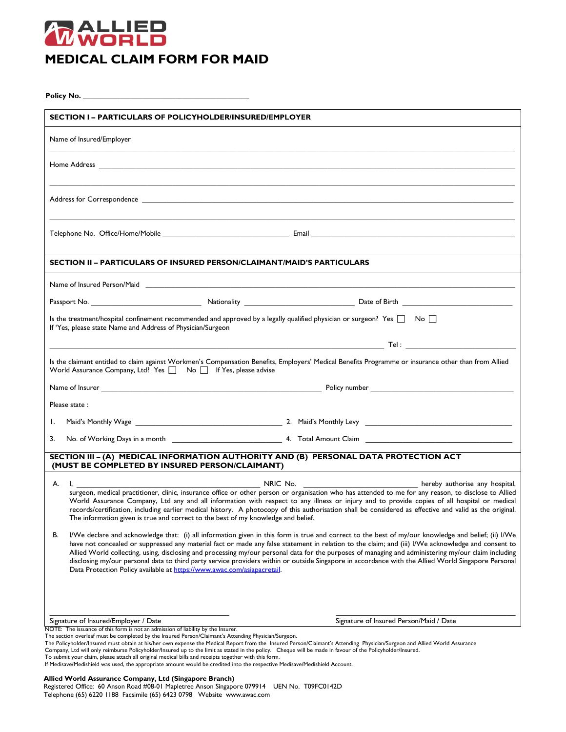

| <b>SECTION I- PARTICULARS OF POLICYHOLDER/INSURED/EMPLOYER</b>                                                                                                                                                                                                                                                                                                                                                                                                                                                                                                                                                                                                                                            |                                                                                                                                                                          |  |
|-----------------------------------------------------------------------------------------------------------------------------------------------------------------------------------------------------------------------------------------------------------------------------------------------------------------------------------------------------------------------------------------------------------------------------------------------------------------------------------------------------------------------------------------------------------------------------------------------------------------------------------------------------------------------------------------------------------|--------------------------------------------------------------------------------------------------------------------------------------------------------------------------|--|
| Name of Insured/Employer                                                                                                                                                                                                                                                                                                                                                                                                                                                                                                                                                                                                                                                                                  |                                                                                                                                                                          |  |
|                                                                                                                                                                                                                                                                                                                                                                                                                                                                                                                                                                                                                                                                                                           |                                                                                                                                                                          |  |
|                                                                                                                                                                                                                                                                                                                                                                                                                                                                                                                                                                                                                                                                                                           |                                                                                                                                                                          |  |
|                                                                                                                                                                                                                                                                                                                                                                                                                                                                                                                                                                                                                                                                                                           |                                                                                                                                                                          |  |
| <b>SECTION II – PARTICULARS OF INSURED PERSON/CLAIMANT/MAID'S PARTICULARS</b>                                                                                                                                                                                                                                                                                                                                                                                                                                                                                                                                                                                                                             |                                                                                                                                                                          |  |
| Name of Insured Person/Maid <b>Annual According to the Contract of According to the Contract of According to the Contract of According to the Contract of According to the Contract of According to the Contract of According to</b>                                                                                                                                                                                                                                                                                                                                                                                                                                                                      |                                                                                                                                                                          |  |
|                                                                                                                                                                                                                                                                                                                                                                                                                                                                                                                                                                                                                                                                                                           |                                                                                                                                                                          |  |
| Is the treatment/hospital confinement recommended and approved by a legally qualified physician or surgeon? Yes $\Box$ No $\Box$<br>If 'Yes, please state Name and Address of Physician/Surgeon                                                                                                                                                                                                                                                                                                                                                                                                                                                                                                           |                                                                                                                                                                          |  |
|                                                                                                                                                                                                                                                                                                                                                                                                                                                                                                                                                                                                                                                                                                           |                                                                                                                                                                          |  |
| Is the claimant entitled to claim against Workmen's Compensation Benefits, Employers' Medical Benefits Programme or insurance other than from Allied<br>World Assurance Company, Ltd? Yes $\Box$ No $\Box$ If Yes, please advise                                                                                                                                                                                                                                                                                                                                                                                                                                                                          |                                                                                                                                                                          |  |
|                                                                                                                                                                                                                                                                                                                                                                                                                                                                                                                                                                                                                                                                                                           |                                                                                                                                                                          |  |
| Please state:                                                                                                                                                                                                                                                                                                                                                                                                                                                                                                                                                                                                                                                                                             |                                                                                                                                                                          |  |
| Ι.                                                                                                                                                                                                                                                                                                                                                                                                                                                                                                                                                                                                                                                                                                        |                                                                                                                                                                          |  |
| 3.                                                                                                                                                                                                                                                                                                                                                                                                                                                                                                                                                                                                                                                                                                        |                                                                                                                                                                          |  |
| SECTION III - (A) MEDICAL INFORMATION AUTHORITY AND (B) PERSONAL DATA PROTECTION ACT<br>(MUST BE COMPLETED BY INSURED PERSON/CLAIMANT)                                                                                                                                                                                                                                                                                                                                                                                                                                                                                                                                                                    |                                                                                                                                                                          |  |
| A. I, ________                                                                                                                                                                                                                                                                                                                                                                                                                                                                                                                                                                                                                                                                                            |                                                                                                                                                                          |  |
| surgeon, medical practitioner, clinic, insurance office or other person or organisation who has attended to me for any reason, to disclose to Allied<br>World Assurance Company, Ltd any and all information with respect to any illness or injury and to provide copies of all hospital or medical<br>records/certification, including earlier medical history. A photocopy of this authorisation shall be considered as effective and valid as the original.<br>The information given is true and correct to the best of my knowledge and belief.                                                                                                                                                       |                                                                                                                                                                          |  |
| В.<br>I/We declare and acknowledge that: (i) all information given in this form is true and correct to the best of my/our knowledge and belief; (ii) I/We<br>have not concealed or suppressed any material fact or made any false statement in relation to the claim; and (iii) I/We acknowledge and consent to<br>Allied World collecting, using, disclosing and processing my/our personal data for the purposes of managing and administering my/our claim including<br>disclosing my/our personal data to third party service providers within or outside Singapore in accordance with the Allied World Singapore Personal<br>Data Protection Policy available at https://www.awac.com/asiapacretail. |                                                                                                                                                                          |  |
| Signature of Insured/Employer / Date                                                                                                                                                                                                                                                                                                                                                                                                                                                                                                                                                                                                                                                                      | Signature of Insured Person/Maid / Date                                                                                                                                  |  |
| NOTE: The issuance of this form is not an admission of liability by the Insurer.<br>The section overleaf must be completed by the Insured Person/Claimant's Attending Physician/Surgeon.                                                                                                                                                                                                                                                                                                                                                                                                                                                                                                                  |                                                                                                                                                                          |  |
| Company, Ltd will only reimburse Policyholder/Insured up to the limit as stated in the policy. Cheque will be made in favour of the Policyholder/Insured.                                                                                                                                                                                                                                                                                                                                                                                                                                                                                                                                                 | The Policyholder/Insured must obtain at his/her own expense the Medical Report from the Insured Person/Claimant's Attending Physician/Surgeon and Allied World Assurance |  |
| To submit your claim, please attach all original medical bills and receipts together with this form.<br>If Medisave/Medishield was used, the appropriate amount would be credited into the respective Medisave/Medishield Account.                                                                                                                                                                                                                                                                                                                                                                                                                                                                        |                                                                                                                                                                          |  |

## **Allied World Assurance Company, Ltd (Singapore Branch)**

Registered Office: 60 Anson Road #08-01 Mapletree Anson Singapore 079914 UEN No. T09FC0142D Telephone (65) 6220 1188 Facsimile (65) 6423 0798 Website www.awac.com